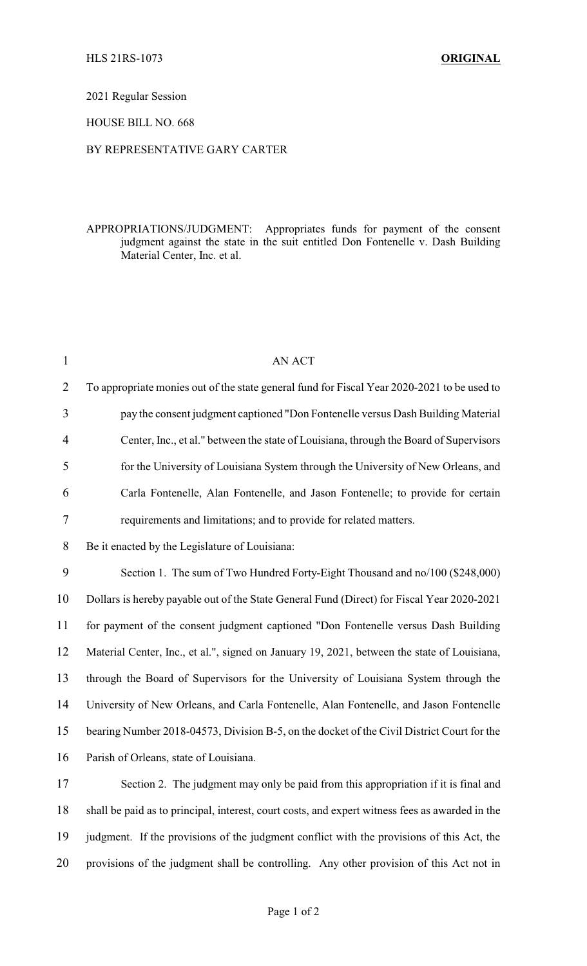## 2021 Regular Session

## HOUSE BILL NO. 668

### BY REPRESENTATIVE GARY CARTER

## APPROPRIATIONS/JUDGMENT: Appropriates funds for payment of the consent judgment against the state in the suit entitled Don Fontenelle v. Dash Building Material Center, Inc. et al.

| $\mathbf{1}$   | AN ACT                                                                                          |
|----------------|-------------------------------------------------------------------------------------------------|
| $\overline{2}$ | To appropriate monies out of the state general fund for Fiscal Year 2020-2021 to be used to     |
| 3              | pay the consent judgment captioned "Don Fontenelle versus Dash Building Material                |
| 4              | Center, Inc., et al." between the state of Louisiana, through the Board of Supervisors          |
| 5              | for the University of Louisiana System through the University of New Orleans, and               |
| 6              | Carla Fontenelle, Alan Fontenelle, and Jason Fontenelle; to provide for certain                 |
| 7              | requirements and limitations; and to provide for related matters.                               |
| 8              | Be it enacted by the Legislature of Louisiana:                                                  |
| 9              | Section 1. The sum of Two Hundred Forty-Eight Thousand and no/100 (\$248,000)                   |
| 10             | Dollars is hereby payable out of the State General Fund (Direct) for Fiscal Year 2020-2021      |
| 11             | for payment of the consent judgment captioned "Don Fontenelle versus Dash Building              |
| 12             | Material Center, Inc., et al.", signed on January 19, 2021, between the state of Louisiana,     |
| 13             | through the Board of Supervisors for the University of Louisiana System through the             |
| 14             | University of New Orleans, and Carla Fontenelle, Alan Fontenelle, and Jason Fontenelle          |
| 15             | bearing Number 2018-04573, Division B-5, on the docket of the Civil District Court for the      |
| 16             | Parish of Orleans, state of Louisiana.                                                          |
| 17             | Section 2. The judgment may only be paid from this appropriation if it is final and             |
| 18             | shall be paid as to principal, interest, court costs, and expert witness fees as awarded in the |
| 19             | judgment. If the provisions of the judgment conflict with the provisions of this Act, the       |
| 20             | provisions of the judgment shall be controlling. Any other provision of this Act not in         |